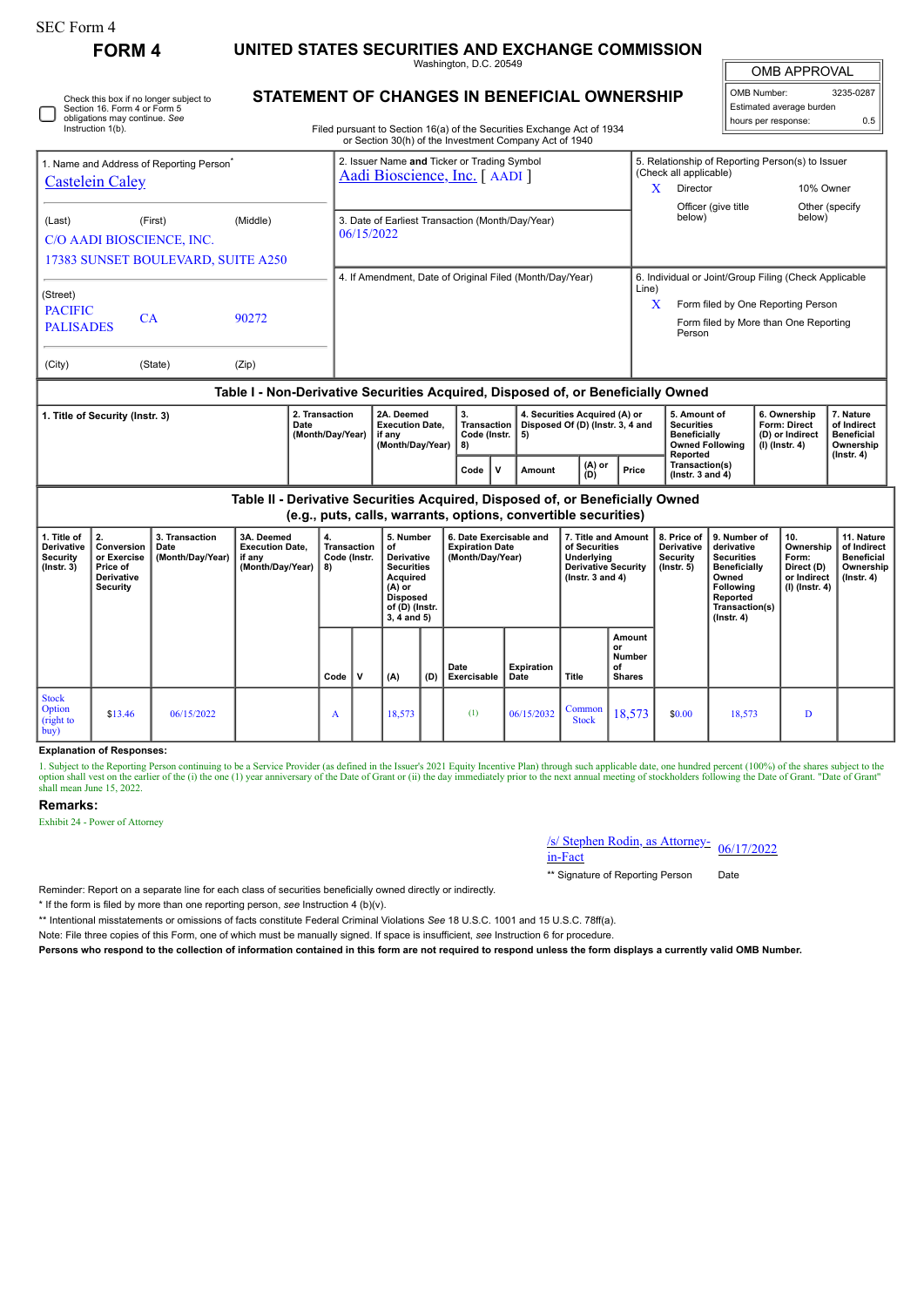| FORM 4 | UNITED STATES SECURITIES AND EXCHANGE COMMISSION |
|--------|--------------------------------------------------|
|--------|--------------------------------------------------|

Washington, D.C. 20549

OMB APPROVAL

| OMB Number:              | 3235-0287 |  |  |  |  |  |  |  |
|--------------------------|-----------|--|--|--|--|--|--|--|
| Estimated average burden |           |  |  |  |  |  |  |  |
| hours per response:      | 0.5       |  |  |  |  |  |  |  |

| Instruction 1(b).                                               | Check this box if no longer subject to<br>Section 16, Form 4 or Form 5<br>obligations may continue. See |          | STATEMENT OF CHANGES IN BENEFICIAL OWNERSHIP<br>Filed pursuant to Section 16(a) of the Securities Exchange Act of 1934<br>or Section 30(h) of the Investment Company Act of 1940 | Estimated average burden<br>0.5<br>hours per response:                                                                  |                                                       |                                       |
|-----------------------------------------------------------------|---------------------------------------------------------------------------------------------------------|----------|----------------------------------------------------------------------------------------------------------------------------------------------------------------------------------|-------------------------------------------------------------------------------------------------------------------------|-------------------------------------------------------|---------------------------------------|
| <b>Castelein Caley</b><br>(Last)                                | 1. Name and Address of Reporting Person <sup>®</sup><br>(First)                                         | (Middle) | 2. Issuer Name and Ticker or Trading Symbol<br>Aadi Bioscience, Inc. [ AADI ]<br>3. Date of Earliest Transaction (Month/Day/Year)<br>06/15/2022                                  | 5. Relationship of Reporting Person(s) to Issuer<br>(Check all applicable)<br>Director<br>Officer (give title<br>below) |                                                       | 10% Owner<br>Other (specify<br>below) |
| C/O AADI BIOSCIENCE, INC.<br>17383 SUNSET BOULEVARD, SUITE A250 |                                                                                                         |          | 4. If Amendment, Date of Original Filed (Month/Day/Year)                                                                                                                         | Line)                                                                                                                   | 6. Individual or Joint/Group Filing (Check Applicable |                                       |
| (Street)<br><b>PACIFIC</b><br><b>PALISADES</b>                  | CA                                                                                                      | 90272    |                                                                                                                                                                                  | Person                                                                                                                  | Form filed by One Reporting Person                    | Form filed by More than One Reporting |
| (City)                                                          | (State)                                                                                                 | (Zip)    |                                                                                                                                                                                  |                                                                                                                         |                                                       |                                       |

## **Table I - Non-Derivative Securities Acquired, Disposed of, or Beneficially Owned**

| I. Title of Security (Instr. 3) | 2A. Deemed<br>2. Transaction<br><b>Execution Date.</b><br>Date<br>(Month/Dav/Year)<br>if anv<br>(Month/Dav/Year) |  | v.<br>Code (Instr.   5)<br>I 81 | 4. Securities Acquired (A) or<br>Transaction   Disposed Of (D) (Instr. 3, 4 and |               |       | 5. Amount of<br>Securities<br><b>Beneficially</b><br>Owned Following<br>Reported | l 6. Ownership<br>Form: Direct<br>(D) or Indirect<br>  (I) (Instr. 4) | . Nature<br>of Indirect<br><b>Beneficial</b><br>Ownership<br>$($ lnstr. 4 $)$ |
|---------------------------------|------------------------------------------------------------------------------------------------------------------|--|---------------------------------|---------------------------------------------------------------------------------|---------------|-------|----------------------------------------------------------------------------------|-----------------------------------------------------------------------|-------------------------------------------------------------------------------|
|                                 |                                                                                                                  |  | Code                            | Amount                                                                          | (A) or<br>(D) | Price | Transaction(s)<br>( $Instr. 3 and 4$ )                                           |                                                                       |                                                                               |

**Table II - Derivative Securities Acquired, Disposed of, or Beneficially Owned (e.g., puts, calls, warrants, options, convertible securities)**

| 1. Title of<br><b>Derivative</b><br><b>Security</b><br>$($ Instr. 3 $)$ | 2.<br>Conversion<br>or Exercise<br>Price of<br>Derivative<br>Security | 3. Transaction<br>Date<br>(Month/Day/Year) | 3A. Deemed<br><b>Execution Date,</b><br>if any<br>(Month/Day/Year) | 4.<br>Transaction<br>Code (Instr.<br>8) |             | 5. Number<br>of<br><b>Derivative</b><br><b>Securities</b><br>Acquired<br>(A) or |     | 6. Date Exercisable and<br><b>Expiration Date</b><br>(Month/Day/Year) |                           | 7. Title and Amount<br>of Securities<br>Underlying<br><b>Derivative Security</b><br>$($ lnstr. 3 and 4 $)$ |                                                               | 8. Price of<br><b>Derivative</b><br><b>Security</b><br>$($ lnstr. 5 $)$ | 9. Number of<br>derivative<br><b>Securities</b><br><b>Beneficially</b><br>Owned<br><b>Following</b> | 10.<br>Ownership<br>Form:<br>Direct (D)<br>or Indirect<br>$(I)$ (Instr. 4) | 11. Nature<br>of Indirect<br><b>Beneficial</b><br>Ownership<br>$($ Instr. 4 $)$ |
|-------------------------------------------------------------------------|-----------------------------------------------------------------------|--------------------------------------------|--------------------------------------------------------------------|-----------------------------------------|-------------|---------------------------------------------------------------------------------|-----|-----------------------------------------------------------------------|---------------------------|------------------------------------------------------------------------------------------------------------|---------------------------------------------------------------|-------------------------------------------------------------------------|-----------------------------------------------------------------------------------------------------|----------------------------------------------------------------------------|---------------------------------------------------------------------------------|
|                                                                         |                                                                       |                                            |                                                                    | Code                                    | $\mathbf v$ | <b>Disposed</b><br>of (D) (Instr.<br>$3, 4$ and $5)$<br>(A)                     | (D) | Date<br>Exercisable                                                   | <b>Expiration</b><br>Date |                                                                                                            | Amount<br>or<br><b>Number</b><br>оf<br><b>Shares</b><br>Title |                                                                         | Reported<br>Transaction(s)<br>$($ Instr. 4 $)$                                                      |                                                                            |                                                                                 |
| <b>Stock</b><br>Option<br>(right to<br>buy)                             | \$13.46                                                               | 06/15/2022                                 |                                                                    | A                                       |             | 18,573                                                                          |     | (1)                                                                   | 06/15/2032                | Common<br><b>Stock</b>                                                                                     | 18,573                                                        | \$0.00                                                                  | 18,573                                                                                              | D                                                                          |                                                                                 |

## **Explanation of Responses:**

1. Subject to the Reporting Person continuing to be a Service Provider (as defined in the Issuer's 2021 Equity Incentive Plan) through such applicable date, one hundred percent (100%) of the shares subject to the option shall vest on the earlier of the (i) the one (1) year anniversary of the Date of Grant or (ii) the day immediately prior to the next annual meeting of stockholders following the Date of Grant. "Date of Grant"<br>shall

# **Remarks:**

Exhibit 24 - Power of Attorney

# /s/ Stephen Rodin, as Attorney-<br>in-Fact

\*\* Signature of Reporting Person Date

Reminder: Report on a separate line for each class of securities beneficially owned directly or indirectly.

\* If the form is filed by more than one reporting person, *see* Instruction 4 (b)(v).

\*\* Intentional misstatements or omissions of facts constitute Federal Criminal Violations *See* 18 U.S.C. 1001 and 15 U.S.C. 78ff(a).

Note: File three copies of this Form, one of which must be manually signed. If space is insufficient, *see* Instruction 6 for procedure.

**Persons who respond to the collection of information contained in this form are not required to respond unless the form displays a currently valid OMB Number.**

# **STATEMENT OF CHANGES IN BENEFICIAL OWNERSHIP**